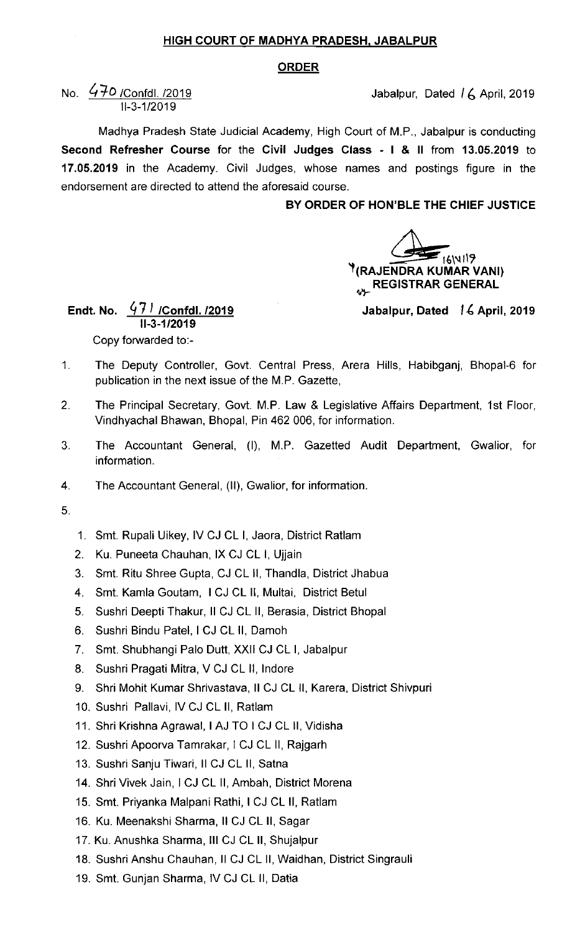## HIGH COURT OF MADHYA PRADESH. JABALPUR

## ORDER

## No.  $\frac{470}{1000}$  /Confdl. /2019 11-3-1 /2019

Madhya Pradesh State Judicial Academy, High Court of M.P., Jabalpur is conducting Second Refresher Course for the Civil Judges Class - I & 11 from 13.05.2019 to 17.05.2019 in the Academy. Civil Judges, whose names and postings figure in the endorsement are directed to attend the aforesaid course.

## BY ORDER OF HON'BLE THE CHIEF JUSTICE

4±6\" 1(RAJENDRA KUMAR VANI) **REGISTRAR GENERAL** 

Jabalpur, Dated 16 April, 2019

Endt. No.  $47\frac{1}{1}$  /Confdl. /2019 11-3-1 /2019 Copy forwarded to:-

- The Deputy Controller, Govt. Central Press, Arera Hills, Habibganj, Bhopal-6 for  $\mathbf{1}$ . publication in the next issue of the M.P. Gazette,
- $2.$ The Principal Secretary, Govt. M.P. Law & Legislative Affairs Department, 1st Floor, Vindhyachal Bhawan, Bhopal, Pin 462 006, for information.
- $3.$ The Accountant General, (I), M.P. Gazetted Audit Department, Gwalior, for information.
- $4.$ The Accountant General, (11), Gwalior, for information.
- 5.
- 1. Smt. Rupali Uikey, lv CJ CL I, Jaora, District Ratlam
- 2. Ku. Puneeta Chauhan, IX CJ CL I, Ujjain
- 3. Smt. Ritu Shree Gupta, CJ CL 11, Thandla, District Jhabua
- 4. Smt. Kamla Goutam, I CJ CL 11, Multai, District Betul
- 5. Sushri Deepti Thakur, II CJ CL II, Berasia, District Bhopal
- 6. Sushri Bindu Patel, I CJ CL II, Damoh
- 7. Smt. Shubhangi Palo Dutt, Xxll CJ CL I, Jabalpur
- 8. Sushri Pragati Mitra, V CJ CL II, Indore
- 9. Shri Mohit Kumar Shrivastava, II CJ CL II, Karera, District Shivpuri
- 10. Sushri Pallavi, lv CJ CL 11, Ratlam
- 11. Shri Krishna Agrawal, I AJ TO I CJ CL II, Vidisha
- 12. Sushri Apoorva Tamrakar, I CJ CL II, Rajgarh
- 13. Sushri Sanju Tiwari, Il CJ CL II, Satna
- 14. Shri Vivek Jain, I CJ CL II, Ambah, District Morena
- 15. Smt. Priyanka Malpani Rathi, I CJ CL II, Ratlam
- 16. Ku. Meenakshi Sharma, II CJ CL II, Sagar
- 17. Ku. Anushka Sharma, III CJ CL II, Shujalpur
- 18. Sushri Anshu Chauhan, II CJ CL II, Waidhan, District Singrauli
- 19. Smt. Gunjan Sharma, IV CJ CL II, Datia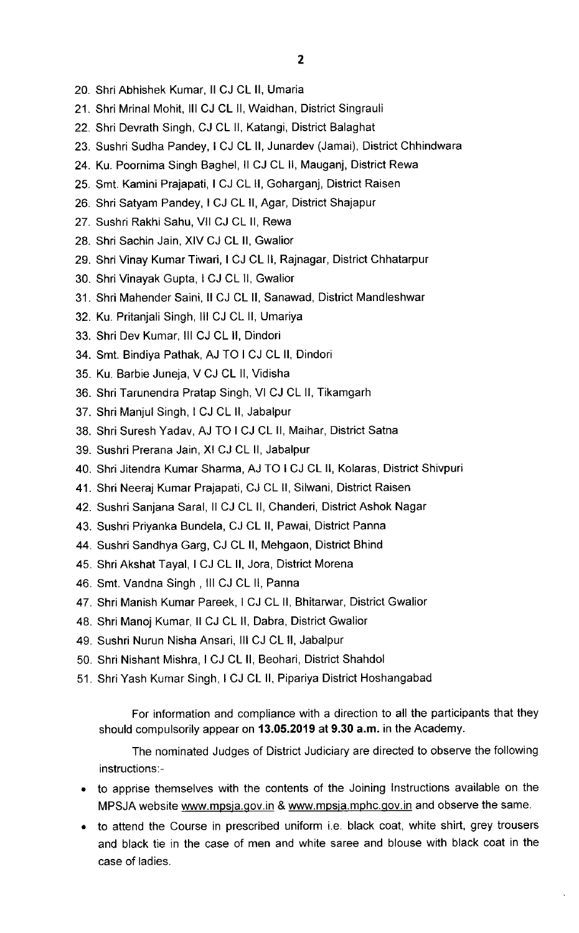- 20. Shri Abhishek Kumar, II CJ CL II, Umaria
- 21. Shri Mrinal Mohit, III CJ CL II, Waidhan, District Singrauli
- 22. Shri Devrath Singh, CJ CL 11, Katangi, District Balaghat
- 23. Sushri Sudha Pandey, I CJ CL II, Junardev (Jamai), District Chhindwara
- 24. Ku. Poornima Singh Baghel, II CJ CL II, Mauganj, District Rewa
- 25. Smt. Kamini Prajapati,I CJ CL 11, Goharganj, District Raisen
- 26. Shri Satyam Pandey, I CJ CL II, Agar, District Shajapur
- 27. Sushri Rakhi Sahu, Vll CJ CL 11, Rewa
- 28. Shri Sachin Jain, XIV CJ CL 11, Gwalior
- 29. Shri Vinay Kumar Tiwari, I CJ CL II, Rajnagar, District Chhatarpur
- 30. Shri Vinayak Gupta, I CJ CL II, Gwalior
- 31. Shri Mahender Saini, II CJ CL II, Sanawad, District Mandleshwar
- 32. Ku. Pritanjali Singh, III CJ CL II, Umariya
- 33. Shri Dev Kumar, III CJ CL II, Dindori
- 34. Smt. Bindiya Pathak, AJ TO I CJ CL 11, Dindori
- 35. Ku. Barbie Juneja, V CJ CL 11, Vidisha
- 36. Shri Tarunendra Pratap Singh, VI CJ CL 11, Tikamgarh
- 37. Shri Manjul Singh, I CJ CL 11, Jabalpur
- 38. Shri Suresh Yadav, AJ TO I CJ CL 11, Maihar, District Satna
- 39. Sushri Prerana Jain, XI CJ CL 11, Jabalpur
- 40. Shri Jitendra Kumar Sharma, AJ TO I CJ CL 11, Kolaras, District Shivpuri
- 41. Shri Neeraj Kumar Prajapati, CJ CL 11, Silwani, District Raisen
- 42. Sushri Sanjana Saral, II CJ CL II, Chanderi, District Ashok Nagar
- 43. Sushri Priyanka Bundela, CJ CL 11, Pawai, District Panna
- 44. Sushri Sandhya Garg, CJ CL 11, Mehgaon, District Bhind
- 45. Shri Akshat Tayal, I CJ CL II, Jora, District Morena
- 46. Smt. Vandna Singh, III CJ CL II, Panna
- 47. Shri Manish Kumar Pareek, I CJ CL II, Bhitarwar, District Gwalior
- 48. Shri Manoj Kumar, II CJ CL II, Dabra, District Gwalior
- 49. Sushri Nurun Nisha Ansari, III CJ CL II, Jabalpur
- 50. Shri Nishant Mishra, I CJ CL II, Beohari, District Shahdol
- 51. Shri Yash Kumar Singh, I CJ CL II, Pipariya District Hoshangabad

For information and compliance with a direction to all the participants that they should compulsorily appear on 13.05.2019 at 9.30 a.m. in the Academy.

The nominated Judges of District Judiciary are directed to observe the following instructions:-

- to apprise themselves with the contents of the Joining Instructions available on the MPSJA website www.mpsja.gov.in & www.mpsja.mphc.gov.in and observe the same.
- to attend the Course in prescribed uniform i.e. black coat, white shirt, grey trousers and black tie in the case of men and white saree and blouse with black coat in the case of ladies.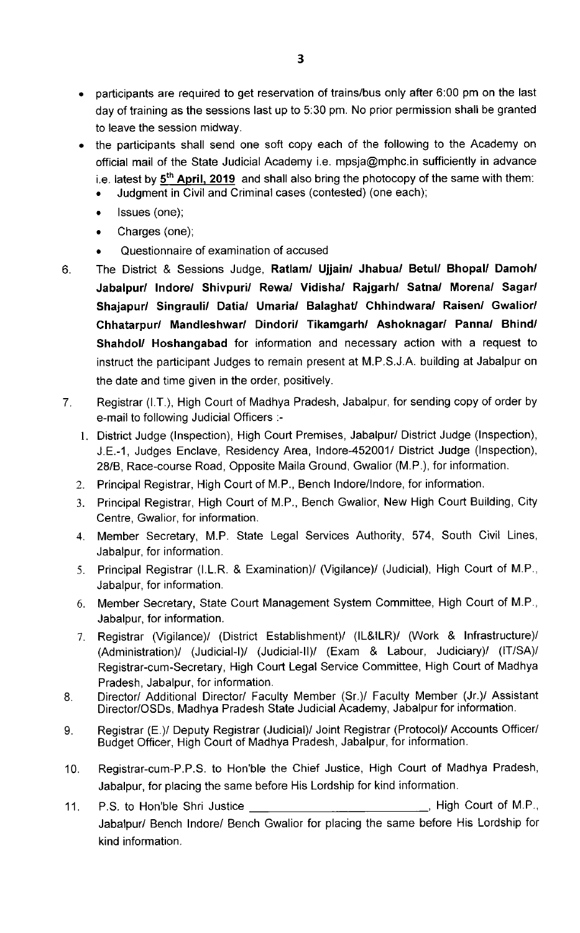- participants are required to get reservation of trains/bus only after  $6:00$  pm on the last day of training as the sessions last up to 5:30 pm. No prior permission shall be granted to leave the session midway.
- the participants shall send one soft copy each of the following to the Academy on official mail of the State Judicial Academy i.e. mpsja@mphc.in sufficiently in advance i.e. latest by  $5<sup>th</sup>$  April, 2019 and shall also bring the photocopy of the same with them:
	- Judgment in civil and criminal cases (contested) (one each);
	- Issues (one);
	- Charges (one);
	- Questionnaire of examination of accused
- The District & Sessions Judge, Ratlam/ Ujjain/ Jhabua/ Betul/ Bhopal/ Damoh/  $6.$ Jabalpur/ lndore/ Shivpuri/ Rewa/ Vidisha/ Rajgarh/ Satna/ Morena/ Sagar/ Shajapur/ Singrauli/ Datia/ Umarial Balaghat/ Chhindwara/ Raisen/ Gwalior/ Chhatarpur/ Mandleshwar/ Dindori/ Tikamgarh/ Ashoknagar/ Panna/ Bhind/ Shahdol/ Hoshangabad for information and necessary action with a request to instruct the participant Judges to remain present at M.P.S.J.A. building at Jabalpur on the date and time given in the order, positively.
- Registrar (I.T.), High Court of Madhya Pradesh, Jabalpur, for sending copy of order by  $7<sup>1</sup>$ e-mail to following Judicial Officers :-
	- I. District Judge (Inspection), High Court Premises, Jabalpur/ District Judge (Inspection), J.E.-1, Judges Enclave, Residency Area, lndore452001/ District Judge (Inspection), 28/B, Race-course Road, Opposite Maila Ground, Gwalior (M.P.), for information.
	- 2. Principal Registrar, High Court of M.P., Bench lndore/lndore, for information.
	- 3. Principal Registrar, High Court of M.P., Bench Gwalior, New High Court Building, City Centre, Gwalior, for information.
	- 4. Member Secretary, M.P. State Legal Services Authority, 574, South Civil Lines, Jabalpur, for information.
	- 5. Principal Registrar (I.L.R. & Examination)/ (Vigilance)/ (Judicial), High Court of M.P., Jabalpur, for information.
	- 6. Member Secretary, State Court Management System Committee, High Court of M.P., Jabalpur, for information.
	- 7. Registrar (Vigilance)/ (District Establishment)/ (lL&lLR)/ (Work & Infrastructure)/ (Administration)/ (Judicial-I)/ (Judicial-lI)/ (Exam & Labour, Judiciary)/ (lT/SA)/ Registrar-cum-Secretary, High Court Legal Service Committee, High Court of Madhya Pradesh, Jabalpur, for information.
- 8. Director/ Additional Director/ Faculty Member (Sr.)/ Faculty Member (Jr.)/ Assistant Director/OSDs, Madhya Pradesh State Judicial Academy, Jabalpur for information.
- 9. Registrar (E.)/ Deputy Registrar (Judicial)/ Joint Registrar (Protocol)/ Accounts officer/ Budget Officer, High Court of Madhya Pradesh, Jabalpur, for information.
- 10. Registrar-Gum-P.P.S. to Hon'ble the Chief Justice, High Court of Madhya Pradesh, Jabalpur, for placing the same before His Lordship for kind information.
- 11. P.S. to Hon'ble Shri Justice **High Court of M.P.**, Jabalpur/ Bench lndore/ Bench Gwalior for placing the same before His Lordship for kind information.